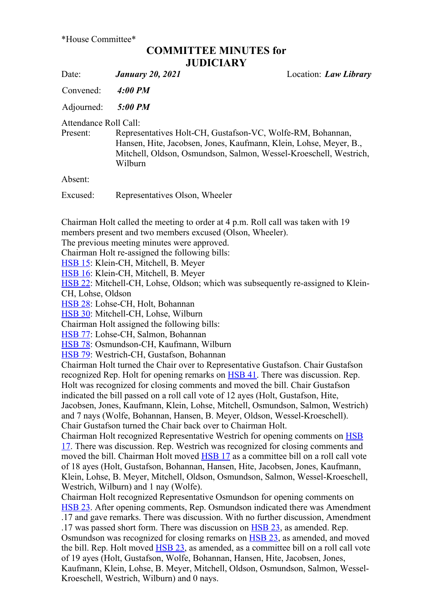## COMMITTEE MINUTES for **JUDICIARY**

Date: *January 20, 2021* Location: *Law Library* 

Convened: 4:00 PM

Adjourned: 5:00 PM

Attendance Roll Call:

Present: Representatives Holt-CH, Gustafson-VC, Wolfe-RM, Bohannan, Hansen, Hite, Jacobsen, Jones, Kaufmann, Klein, Lohse, Meyer, B., Mitchell, Oldson, Osmundson, Salmon, Wessel-Kroeschell, Westrich, Wilburn

Absent:

Excused: Representatives Olson, Wheeler

Chairman Holt called the meeting to order at 4 p.m. Roll call was taken with 19 members present and two members excused (Olson, Wheeler).

The previous meeting minutes were approved.

Chairman Holt re-assigned the following bills:

HSB 15: Klein-CH, Mitchell, B. Meyer

HSB 16: Klein-CH, Mitchell, B. Meyer

HSB 22: Mitchell-CH, Lohse, Oldson; which was subsequently re-assigned to Klein-CH, Lohse, Oldson

HSB 28: Lohse-CH, Holt, Bohannan

HSB 30: Mitchell-CH, Lohse, Wilburn

Chairman Holt assigned the following bills:

HSB 77: Lohse-CH, Salmon, Bohannan

HSB 78: Osmundson-CH, Kaufmann, Wilburn

HSB 79: Westrich-CH, Gustafson, Bohannan

Chairman Holt turned the Chair over to Representative Gustafson. Chair Gustafson recognized Rep. Holt for opening remarks on **HSB 41**. There was discussion. Rep. Holt was recognized for closing comments and moved the bill. Chair Gustafson indicated the bill passed on a roll call vote of 12 ayes (Holt, Gustafson, Hite, Jacobsen, Jones, Kaufmann, Klein, Lohse, Mitchell, Osmundson, Salmon, Westrich) and 7 nays (Wolfe, Bohannan, Hansen, B. Meyer, Oldson, Wessel-Kroeschell). Chair Gustafson turned the Chair back over to Chairman Holt.

Chairman Holt recognized Representative Westrich for opening comments on HSB 17. There was discussion. Rep. Westrich was recognized for closing comments and moved the bill. Chairman Holt moved HSB 17 as a committee bill on a roll call vote of 18 ayes (Holt, Gustafson, Bohannan, Hansen, Hite, Jacobsen, Jones, Kaufmann, Klein, Lohse, B. Meyer, Mitchell, Oldson, Osmundson, Salmon, Wessel-Kroeschell, Westrich, Wilburn) and 1 nay (Wolfe).

Chairman Holt recognized Representative Osmundson for opening comments on HSB 23. After opening comments, Rep. Osmundson indicated there was Amendment .17 and gave remarks. There was discussion. With no further discussion, Amendment .17 was passed short form. There was discussion on **HSB 23**, as amended. Rep. Osmundson was recognized for closing remarks on HSB 23, as amended, and moved the bill. Rep. Holt moved **HSB 23**, as amended, as a committee bill on a roll call vote of 19 ayes (Holt, Gustafson, Wolfe, Bohannan, Hansen, Hite, Jacobsen, Jones, Kaufmann, Klein, Lohse, B. Meyer, Mitchell, Oldson, Osmundson, Salmon, Wessel-Kroeschell, Westrich, Wilburn) and 0 nays.